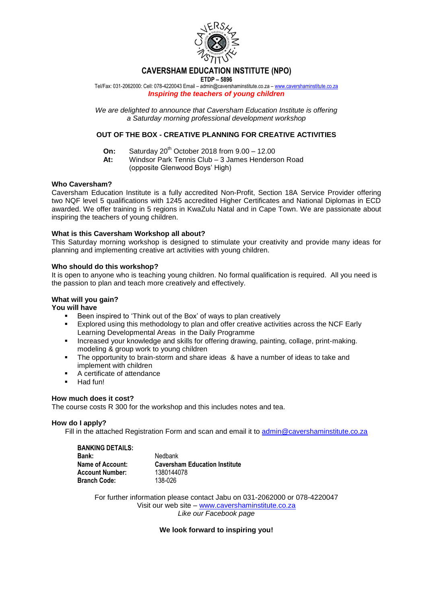

## **CAVERSHAM EDUCATION INSTITUTE (NPO)**

**ETDP – 5896**

Tel/Fax: 031-2062000: Cell: 078-4220043 Email – admin@cavershaminstitute.co.za – [www.cavershaminstitute.co.za](http://www.cavershaminstitute.co.za/) *Inspiring the teachers of young children*

*We are delighted to announce that Caversham Education Institute is offering a Saturday morning professional development workshop*

## **OUT OF THE BOX - CREATIVE PLANNING FOR CREATIVE ACTIVITIES**

- **On:** Saturday 20<sup>th</sup> October 2018 from 9.00 12.00
- **At:** Windsor Park Tennis Club 3 James Henderson Road (opposite Glenwood Boys' High)

### **Who Caversham?**

Caversham Education Institute is a fully accredited Non-Profit, Section 18A Service Provider offering two NQF level 5 qualifications with 1245 accredited Higher Certificates and National Diplomas in ECD awarded. We offer training in 5 regions in KwaZulu Natal and in Cape Town. We are passionate about inspiring the teachers of young children.

### **What is this Caversham Workshop all about?**

This Saturday morning workshop is designed to stimulate your creativity and provide many ideas for planning and implementing creative art activities with young children.

### **Who should do this workshop?**

It is open to anyone who is teaching young children. No formal qualification is required. All you need is the passion to plan and teach more creatively and effectively.

#### **What will you gain?**

#### **You will have**

- Been inspired to 'Think out of the Box' of ways to plan creatively
- Explored using this methodology to plan and offer creative activities across the NCF Early Learning Developmental Areas in the Daily Programme
- Increased your knowledge and skills for offering drawing, painting, collage, print-making. modeling & group work to young children
- The opportunity to brain-storm and share ideas & have a number of ideas to take and implement with children
- A certificate of attendance
- Had fun!

# **How much does it cost?**

The course costs R 300 for the workshop and this includes notes and tea.

#### **How do I apply?**

Fill in the attached Registration Form and scan and email it to [admin@cavershaminstitute.co.za](mailto:admin@cavershaminstitute.co.za)

| <b>BANKING DETAILS:</b> |                                      |
|-------------------------|--------------------------------------|
| Bank:                   | Nedbank                              |
| Name of Account:        | <b>Caversham Education Institute</b> |
| <b>Account Number:</b>  | 1380144078                           |
| <b>Branch Code:</b>     | 138-026                              |

For further information please contact Jabu on 031-2062000 or 078-4220047 Visit our web site – [www.cavershaminstitute.co.za](http://www.cavershaminstitute.co.za/) *Like our Facebook page* 

## **We look forward to inspiring you!**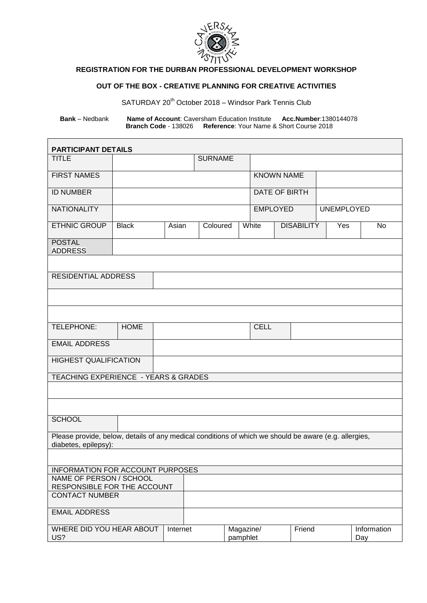

## **REGISTRATION FOR THE DURBAN PROFESSIONAL DEVELOPMENT WORKSHOP**

## **OUT OF THE BOX - CREATIVE PLANNING FOR CREATIVE ACTIVITIES**

SATURDAY 20<sup>th</sup> October 2018 – Windsor Park Tennis Club

**Bank** – Nedbank **Name of Account**: Caversham Education Institute **Acc.Number**:1380144078 **Branch Code** - 138026 **Reference**: Your Name & Short Course 2018

 $\mathbf{r}$ 

| <b>PARTICIPANT DETAILS</b>                                                                                                    |                       |  |                       |                 |                   |                   |     |                    |  |  |
|-------------------------------------------------------------------------------------------------------------------------------|-----------------------|--|-----------------------|-----------------|-------------------|-------------------|-----|--------------------|--|--|
| <b>TITLE</b>                                                                                                                  |                       |  | <b>SURNAME</b>        |                 |                   |                   |     |                    |  |  |
| <b>FIRST NAMES</b>                                                                                                            |                       |  |                       |                 | <b>KNOWN NAME</b> |                   |     |                    |  |  |
| <b>ID NUMBER</b>                                                                                                              |                       |  |                       |                 | DATE OF BIRTH     |                   |     |                    |  |  |
| <b>NATIONALITY</b>                                                                                                            |                       |  |                       | <b>EMPLOYED</b> |                   | <b>UNEMPLOYED</b> |     |                    |  |  |
| <b>ETHNIC GROUP</b>                                                                                                           | <b>Black</b><br>Asian |  | Coloured              |                 | White             | <b>DISABILITY</b> | Yes | <b>No</b>          |  |  |
| <b>POSTAL</b><br><b>ADDRESS</b>                                                                                               |                       |  |                       |                 |                   |                   |     |                    |  |  |
|                                                                                                                               |                       |  |                       |                 |                   |                   |     |                    |  |  |
| <b>RESIDENTIAL ADDRESS</b>                                                                                                    |                       |  |                       |                 |                   |                   |     |                    |  |  |
|                                                                                                                               |                       |  |                       |                 |                   |                   |     |                    |  |  |
|                                                                                                                               |                       |  |                       |                 |                   |                   |     |                    |  |  |
| TELEPHONE:                                                                                                                    | <b>HOME</b>           |  |                       |                 | <b>CELL</b>       |                   |     |                    |  |  |
| <b>EMAIL ADDRESS</b>                                                                                                          |                       |  |                       |                 |                   |                   |     |                    |  |  |
| <b>HIGHEST QUALIFICATION</b>                                                                                                  |                       |  |                       |                 |                   |                   |     |                    |  |  |
| TEACHING EXPERIENCE - YEARS & GRADES                                                                                          |                       |  |                       |                 |                   |                   |     |                    |  |  |
|                                                                                                                               |                       |  |                       |                 |                   |                   |     |                    |  |  |
|                                                                                                                               |                       |  |                       |                 |                   |                   |     |                    |  |  |
| <b>SCHOOL</b>                                                                                                                 |                       |  |                       |                 |                   |                   |     |                    |  |  |
| Please provide, below, details of any medical conditions of which we should be aware (e.g. allergies,<br>diabetes, epilepsy): |                       |  |                       |                 |                   |                   |     |                    |  |  |
|                                                                                                                               |                       |  |                       |                 |                   |                   |     |                    |  |  |
| INFORMATION FOR ACCOUNT PURPOSES                                                                                              |                       |  |                       |                 |                   |                   |     |                    |  |  |
| NAME OF PERSON / SCHOOL<br>RESPONSIBLE FOR THE ACCOUNT                                                                        |                       |  |                       |                 |                   |                   |     |                    |  |  |
| <b>CONTACT NUMBER</b>                                                                                                         |                       |  |                       |                 |                   |                   |     |                    |  |  |
| <b>EMAIL ADDRESS</b>                                                                                                          |                       |  |                       |                 |                   |                   |     |                    |  |  |
| WHERE DID YOU HEAR ABOUT<br>US?                                                                                               | Internet              |  | Magazine/<br>pamphlet |                 |                   | Friend            |     | Information<br>Day |  |  |